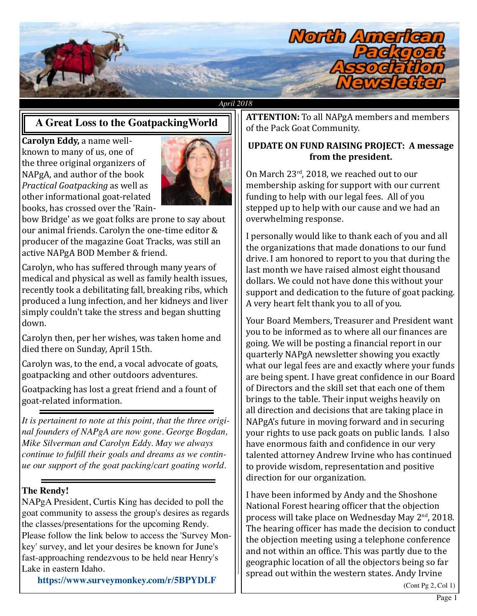

#### *April 2018*

## **A Great Loss to the GoatpackingWorld**

**Carolyn Eddy,** a name wellknown to many of us, one of the three original organizers of NAPgA, and author of the book *Practical Goatpacking* as well as other informational goat-related books, has crossed over the 'Rain-



bow Bridge' as we goat folks are prone to say about our animal friends. Carolyn the one-time editor & producer of the magazine Goat Tracks, was still an active NAPgA BOD Member & friend.

Carolyn, who has suffered through many years of medical and physical as well as family health issues, recently took a debilitating fall, breaking ribs, which produced a lung infection, and her kidneys and liver simply couldn't take the stress and began shutting down.

Carolyn then, per her wishes, was taken home and died there on Sunday, April 15th.

Carolyn was, to the end, a vocal advocate of goats, goatpacking and other outdoors adventures.

Goatpacking has lost a great friend and a fount of goat-related information.

*It is pertainent to note at this point, that the three original founders of NAPgA are now gone. George Bogdan, Mike Silverman and Carolyn Eddy. May we always continue to fulfll their goals and dreams as we continue our support of the goat packing/cart goating world.*

#### **The Rendy!**

NAPgA President, Curtis King has decided to poll the goat community to assess the group's desires as regards the classes/presentations for the upcoming Rendy. Please follow the link below to access the 'Survey Monkey' survey, and let your desires be known for June's fast-approaching rendezvous to be held near Henry's Lake in eastern Idaho.

**<https://www.surveymonkey.com/r/5BPYDLF>**

**ATTENTION:** To all NAPgA members and members of the Pack Goat Community.

#### **UPDATE ON FUND RAISING PROJECT: A message from the president.**

On March 23rd, 2018, we reached out to our membership asking for support with our current funding to help with our legal fees. All of you stepped up to help with our cause and we had an overwhelming response.

I personally would like to thank each of you and all the organizations that made donations to our fund drive. I am honored to report to you that during the last month we have raised almost eight thousand dollars. We could not have done this without your support and dedication to the future of goat packing. A very heart felt thank you to all of you.

Your Board Members, Treasurer and President want you to be informed as to where all our finances are going. We will be posting a financial report in our quarterly NAPgA newsletter showing you exactly what our legal fees are and exactly where your funds are being spent. I have great confidence in our Board of Directors and the skill set that each one of them brings to the table. Their input weighs heavily on all direction and decisions that are taking place in NAPgA's future in moving forward and in securing your rights to use pack goats on public lands. I also have enormous faith and confidence in our very talented attorney Andrew Irvine who has continued to provide wisdom, representation and positive direction for our organization.

I have been informed by Andy and the Shoshone National Forest hearing officer that the objection process will take place on Wednesday May 2<sup>nd</sup>, 2018. The hearing officer has made the decision to conduct the objection meeting using a telephone conference and not within an office. This was partly due to the geographic location of all the objectors being so far spread out within the western states. Andy Irvine

(Cont Pg 2, Col 1)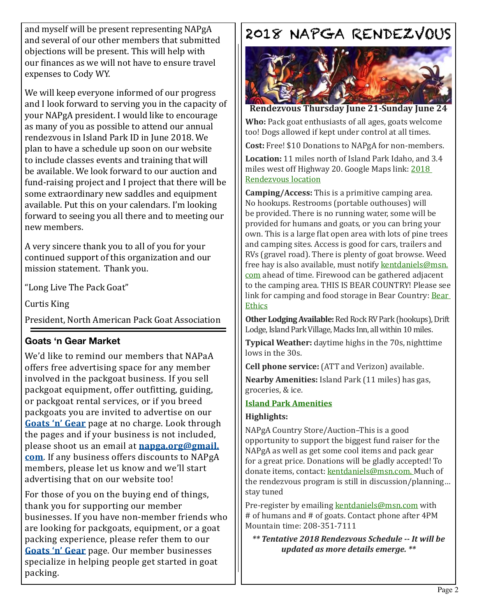and myself will be present representing NAPgA and several of our other members that submitted objections will be present. This will help with our finances as we will not have to ensure travel expenses to Cody WY.

We will keep everyone informed of our progress and I look forward to serving you in the capacity of your NAPgA president. I would like to encourage as many of you as possible to attend our annual rendezvous in Island Park ID in June 2018. We plan to have a schedule up soon on our website to include classes events and training that will be available. We look forward to our auction and fund-raising project and I project that there will be some extraordinary new saddles and equipment available. Put this on your calendars. I'm looking forward to seeing you all there and to meeting our new members.

A very sincere thank you to all of you for your continued support of this organization and our mission statement. Thank you.

"Long Live The Pack Goat"

Curtis King

President, North American Pack Goat Association

### **Goats 'n Gear Market**

We'd like to remind our members that NAPaA offers free advertising space for any member involved in the packgoat business. If you sell packgoat equipment, offer outfitting, guiding, or packgoat rental services, or if you breed packgoats you are invited to advertise on our **[Goats 'n' Gear](http://www.napga.org/resources/goats-n-gear/)** page at no charge. Look through the pages and if your business is not included, please shoot us an email at **[napga.org@gmail.](mailto:napga.org@gmail.com) [com](mailto:napga.org@gmail.com)**. If any business offers discounts to NAPgA members, please let us know and we'll start advertising that on our website too!

For those of you on the buying end of things, thank you for supporting our member businesses. If you have non-member friends who are looking for packgoats, equipment, or a goat packing experience, please refer them to our **[Goats 'n' Gear](http://www.napga.org/resources/goats-n-gear/)** page. Our member businesses specialize in helping people get started in goat packing.

# 2018 NAPGA RENDEZVOUS



**Rendezvous Thursday June 21-Sunday June 24**

**Who:** Pack goat enthusiasts of all ages, goats welcome too! Dogs allowed if kept under control at all times.

**Cost:** Free! \$10 Donations to NAPgA for non-members.

**Location:** 11 miles north of Island Park Idaho, and 3.4 miles west off Highway 20. Google Maps link: [2018](http://www.google.com/maps/place/44%C2%B035)  [Rendezvous location](http://www.google.com/maps/place/44%C2%B035)

**Camping/Access:** This is a primitive camping area. No hookups. Restrooms (portable outhouses) will be provided. There is no running water, some will be provided for humans and goats, or you can bring your own. This is a large flat open area with lots of pine trees and camping sites. Access is good for cars, trailers and RVs (gravel road). There is plenty of goat browse. Weed free hay is also available, must notify [kentdaniels@msn.](mailto:kentdaniels%40msn.com?subject=kentdaniels%40msn.com) [com](mailto:kentdaniels%40msn.com?subject=kentdaniels%40msn.com) ahead of time. Firewood can be gathered adjacent to the camping area. THIS IS BEAR COUNTRY! Please see link for camping and food storage in [Bear](http://www.fs.usda.gov/detail/ctnf/learning/safety-ethics/?cid=stelprdb5106702) Country: Bear **[Ethics](http://www.fs.usda.gov/detail/ctnf/learning/safety-ethics/?cid=stelprdb5106702)** 

**Other Lodging Available:** Red Rock RV Park (hookups), Drift Lodge, Island Park Village, Macks Inn, all within 10 miles.

**Typical Weather:** daytime highs in the 70s, nighttime lows in the 30s.

**Cell phone service:** (ATT and Verizon) available.

**Nearby Amenities:** Island Park (11 miles) has gas, groceries, & ice.

## **[Island Park Amenities](https://www.islandparkchamber.org/business-directory/)**

### **Highlights:**

NAPgA Country Store/Auction–This is a good opportunity to support the biggest fund raiser for the NAPgA as well as get some cool items and pack gear for a great price. Donations will be gladly accepted! To donate items, contact: [kentdaniels@msn.com.](mailto:kentdaniels%40msn.com?subject=kentdaniels%40msn.com) Much of the rendezvous program is still in discussion/planning… stay tuned

Pre-register by emailing [kentdaniels@msn.com](mailto:kentdaniels%40msn.com?subject=kentdaniels%40msn.com) with # of humans and # of goats. Contact phone after 4PM Mountain time: 208-351-7111

*\*\* Tentative 2018 Rendezvous Schedule -- It will be updated as more details emerge. \*\**